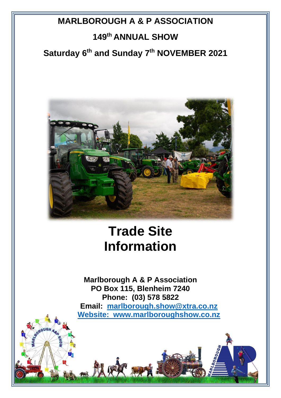# **MARLBOROUGH A & P ASSOCIATION 149 th ANNUAL SHOW**

# **Saturday 6 th and Sunday 7 th NOVEMBER 2021**



# **Trade Site Information**

**Marlborough A & P Association PO Box 115, Blenheim 7240 Phone: (03) 578 5822 Email: [marlborough.show@xtra.co.nz](mailto:marlborough.show@xtra.co.nz) Website: www.marlboroughshow.co.nz**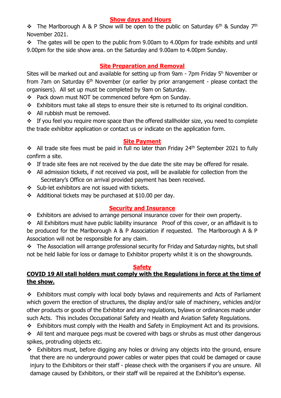# **Show days and Hours**

 $\div$  The Marlborough A & P Show will be open to the public on Saturday 6<sup>th</sup> & Sunday 7<sup>th</sup> November 2021.

❖ The gates will be open to the public from 9.00am to 4.00pm for trade exhibits and until 9.00pm for the side show area. on the Saturday and 9.00am to 4.00pm Sunday.

# **Site Preparation and Removal**

Sites will be marked out and available for setting up from 9am - 7pm Friday 5<sup>h</sup> November or from 7am on Saturday 6<sup>th</sup> November (or earlier by prior arrangement - please contact the organisers). All set up must be completed by 9am on Saturday.

- ❖ Pack down must NOT be commenced before 4pm on Sunday.
- ❖ Exhibitors must take all steps to ensure their site is returned to its original condition.
- ❖ All rubbish must be removed.

❖ If you feel you require more space than the offered stallholder size, you need to complete the trade exhibitor application or contact us or indicate on the application form.

#### **Site Payment**

◆ All trade site fees must be paid in full no later than Friday 24<sup>th</sup> September 2021 to fully confirm a site.

- ❖ If trade site fees are not received by the due date the site may be offered for resale.
- ❖ All admission tickets, if not received via post, will be available for collection from the Secretary's Office on arrival provided payment has been received.
- ❖ Sub-let exhibitors are not issued with tickets.
- $\div$  Additional tickets may be purchased at \$10.00 per day.

#### **Security and Insurance**

❖ Exhibitors are advised to arrange personal insurance cover for their own property.

❖ All Exhibitors must have public liability insurance Proof of this cover, or an affidavit is to be produced for the Marlborough A & P Association if requested. The Marlborough A & P Association will not be responsible for any claim.

❖ The Association will arrange professional security for Friday and Saturday nights, but shall not be held liable for loss or damage to Exhibitor property whilst it is on the showgrounds.

#### **Safety**

# **COVID 19 All stall holders must comply with the Regulations in force at the time of the show.**

❖ Exhibitors must comply with local body bylaws and requirements and Acts of Parliament which govern the erection of structures, the display and/or sale of machinery, vehicles and/or other products or goods of the Exhibitor and any regulations, bylaws or ordinances made under such Acts. This includes Occupational Safety and Health and Aviation Safety Regulations.

❖ Exhibitors must comply with the Health and Safety in Employment Act and its provisions.

 $\div$  All tent and marquee pegs must be covered with bags or shrubs as must other dangerous spikes, protruding objects etc.

❖ Exhibitors must, before digging any holes or driving any objects into the ground, ensure that there are no underground power cables or water pipes that could be damaged or cause injury to the Exhibitors or their staff - please check with the organisers if you are unsure. All damage caused by Exhibitors, or their staff will be repaired at the Exhibitor's expense.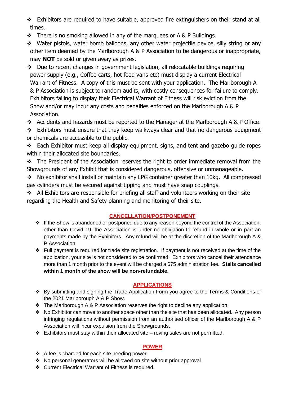- ❖ Exhibitors are required to have suitable, approved fire extinguishers on their stand at all times.
- ❖ There is no smoking allowed in any of the marquees or A & P Buildings.
- ❖ Water pistols, water bomb balloons, any other water projectile device, silly string or any other item deemed by the Marlborough A & P Association to be dangerous or inappropriate, may **NOT** be sold or given away as prizes.
- ❖ Due to recent changes in government legislation, all relocatable buildings requiring power supply (e.g., Coffee carts, hot food vans etc) must display a current Electrical Warrant of Fitness. A copy of this must be sent with your application. The Marlborough A & P Association is subject to random audits, with costly consequences for failure to comply. Exhibitors failing to display their Electrical Warrant of Fitness will risk eviction from the Show and/or may incur any costs and penalties enforced on the Marlborough A & P Association.
- ❖ Accidents and hazards must be reported to the Manager at the Marlborough A & P Office.

❖ Exhibitors must ensure that they keep walkways clear and that no dangerous equipment or chemicals are accessible to the public.

❖ Each Exhibitor must keep all display equipment, signs, and tent and gazebo guide ropes within their allocated site boundaries.

❖ The President of the Association reserves the right to order immediate removal from the Showgrounds of any Exhibit that is considered dangerous, offensive or unmanageable.

❖ No exhibitor shall install or maintain any LPG container greater than 10kg. All compressed gas cylinders must be secured against tipping and must have snap couplings.

❖ All Exhibitors are responsible for briefing all staff and volunteers working on their site regarding the Health and Safety planning and monitoring of their site.

# **CANCELLATION/POSTPONEMENT**

- ❖ If the Show is abandoned or postponed due to any reason beyond the control of the Association, other than Covid 19, the Association is under no obligation to refund in whole or in part an payments made by the Exhibitors. Any refund will be at the discretion of the Marlborough A & P Association.
- ❖ Full payment is required for trade site registration. If payment is not received at the time of the application, your site is not considered to be confirmed. Exhibitors who cancel their attendance more than 1 month prior to the event will be charged a \$75 administration fee. **Stalls cancelled within 1 month of the show will be non-refundable.**

# **APPLICATIONS**

- ❖ By submitting and signing the Trade Application Form you agree to the Terms & Conditions of the 2021 Marlborough A & P Show.
- ❖ The Marlborough A & P Association reserves the right to decline any application.
- ❖ No Exhibitor can move to another space other than the site that has been allocated. Any person infringing regulations without permission from an authorised officer of the Marlborough A & P Association will incur expulsion from the Showgrounds.
- ❖ Exhibitors must stay within their allocated site roving sales are not permitted.

# **POWER**

- ❖ A fee is charged for each site needing power.
- ❖ No personal generators will be allowed on site without prior approval.
- ❖ Current Electrical Warrant of Fitness is required.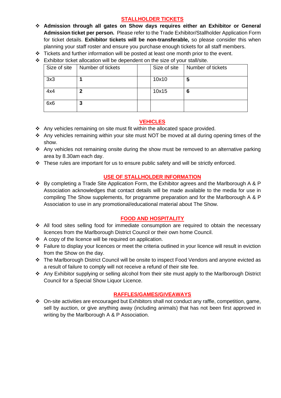#### **STALLHOLDER TICKETS**

- ❖ **Admission through all gates on Show days requires either an Exhibitor or General Admission ticket per person.** Please refer to the Trade Exhibitor/Stallholder Application Form for ticket details. **Exhibitor tickets will be non-transferable,** so please consider this when planning your staff roster and ensure you purchase enough tickets for all staff members.
- $\div$  Tickets and further information will be posted at least one month prior to the event.
- ❖ Exhibitor ticket allocation will be dependent on the size of your stall/site.

| Size of site | Number of tickets | Size of site | Number of tickets |
|--------------|-------------------|--------------|-------------------|
| 3x3          |                   | 10x10        | 5                 |
| 4x4          |                   | 10x15        | 6                 |
| 6x6          | J                 |              |                   |

#### **VEHICLES**

- ❖ Any vehicles remaining on site must fit within the allocated space provided.
- ❖ Any vehicles remaining within your site must NOT be moved at all during opening times of the show.
- ❖ Any vehicles not remaining onsite during the show must be removed to an alternative parking area by 8.30am each day.
- ❖ These rules are important for us to ensure public safety and will be strictly enforced.

#### **USE OF STALLHOLDER INFORMATION**

❖ By completing a Trade Site Application Form, the Exhibitor agrees and the Marlborough A & P Association acknowledges that contact details will be made available to the media for use in compiling The Show supplements, for programme preparation and for the Marlborough A & P Association to use in any promotional/educational material about The Show.

#### **FOOD AND HOSPITALITY**

- ❖ All food sites selling food for immediate consumption are required to obtain the necessary licences from the Marlborough District Council or their own home Council.
- ❖ A copy of the licence will be required on application.
- ❖ Failure to display your licences or meet the criteria outlined in your licence will result in eviction from the Show on the day.
- ❖ The Marlborough District Council will be onsite to inspect Food Vendors and anyone evicted as a result of failure to comply will not receive a refund of their site fee.
- ❖ Any Exhibitor supplying or selling alcohol from their site must apply to the Marlborough District Council for a Special Show Liquor Licence.

#### **RAFFLES/GAMES/GIVEAWAYS**

❖ On-site activities are encouraged but Exhibitors shall not conduct any raffle, competition, game, sell by auction, or give anything away (including animals) that has not been first approved in writing by the Marlborough A & P Association.